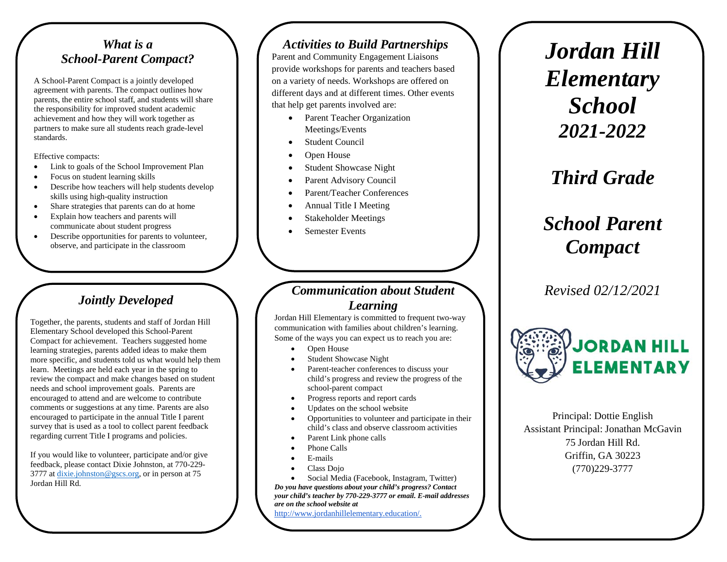#### *What is a School-Parent Compact?*

A School-Parent Compact is a jointly developed agreement with parents. The compact outlines how parents, the entire school staff, and students will share the responsibility for improved student academic achievement and how they will work together as partners to make sure all students reach grade-level standards.

Effective compacts:

- Link to goals of the School Improvement Plan
- Focus on student learning skills
- Describe how teachers will help students develop skills using high-quality instruction
- Share strategies that parents can do at home
- Explain how teachers and parents will communicate about student progress
- Describe opportunities for parents to volunteer, observe, and participate in the classroom

# *Jointly Developed*

Together, the parents, students and staff of Jordan Hill Elementary School developed this School-Parent Compact for achievement. Teachers suggested home learning strategies, parents added ideas to make them more specific, and students told us what would help them learn. Meetings are held each year in the spring to review the compact and make changes based on student needs and school improvement goals. Parents are encouraged to attend and are welcome to contribute comments or suggestions at any time. Parents are also encouraged to participate in the annual Title I parent survey that is used as a tool to collect parent feedback regarding current Title I programs and policies.

If you would like to volunteer, participate and/or give feedback, please contact Dixie Johnston, at 770-229- 3777 at dixie.johnston@gscs.org, or in person at 75 Jordan Hill Rd.

#### *Activities to Build Partnerships*

Parent and Community Engagement Liaisons provide workshops for parents and teachers based on a variety of needs. Workshops are offered on different days and at different times. Other events that help get parents involved are:

- Parent Teacher Organization Meetings/Events
- **Student Council**
- Open House
- Student Showcase Night
- Parent Advisory Council
- Parent/Teacher Conferences
- Annual Title I Meeting
- Stakeholder Meetings
- Semester Events

#### *Communication about Student Learning*

Jordan Hill Elementary is committed to frequent two-way communication with families about children's learning. Some of the ways you can expect us to reach you are:

- Open House
- Student Showcase Night
- Parent-teacher conferences to discuss your child's progress and review the progress of the school-parent compact
- Progress reports and report cards
- Updates on the school website
- Opportunities to volunteer and participate in their child's class and observe classroom activities
- Parent Link phone calls
- Phone Calls
- E-mails
- Class Dojo

• Social Media (Facebook, Instagram, Twitter) *Do you have questions about your child's progress? Contact your child's teacher by 770-229-3777 or email. E-mail addresses are on the school website at* 

http://www.jordanhillelementary.education/.

*Jordan Hill Elementary School 2021-2022*

# *Third Grade*

# *School Parent Compact*

*Revised 02/12/2021*



Principal: Dottie English Assistant Principal: Jonathan McGavin 75 Jordan Hill Rd. Griffin, GA 30223 (770)229-3777